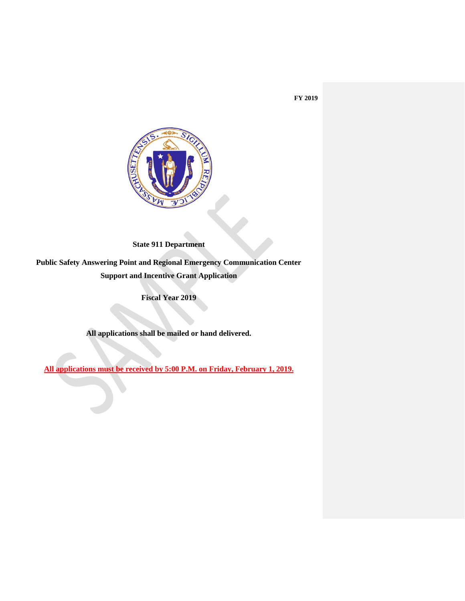

**State 911 Department**

**Public Safety Answering Point and Regional Emergency Communication Center Support and Incentive Grant Application**

**Fiscal Year 2019**

**All applications shall be mailed or hand delivered.** 

**All applications must be received by 5:00 P.M. on Friday, February 1, 2019.**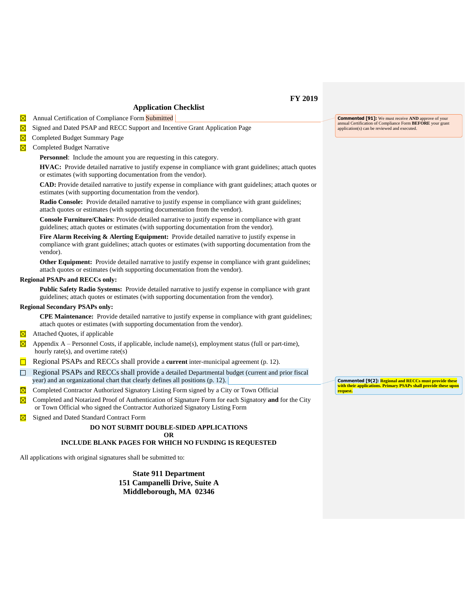## **Application Checklist**

 $\boxtimes$  Annual Certification of Compliance Form Submitted

 $\boxtimes$ Signed and Dated PSAP and RECC Support and Incentive Grant Application Page

Completed Budget Summary Page

 $\boxtimes$  Completed Budget Narrative

**Personnel**: Include the amount you are requesting in this category.

**HVAC:** Provide detailed narrative to justify expense in compliance with grant guidelines; attach quotes or estimates (with supporting documentation from the vendor).

**CAD:** Provide detailed narrative to justify expense in compliance with grant guidelines; attach quotes or estimates (with supporting documentation from the vendor).

**Radio Console:** Provide detailed narrative to justify expense in compliance with grant guidelines; attach quotes or estimates (with supporting documentation from the vendor).

**Console Furniture/Chairs**: Provide detailed narrative to justify expense in compliance with grant guidelines; attach quotes or estimates (with supporting documentation from the vendor).

**Fire Alarm Receiving & Alerting Equipment:** Provide detailed narrative to justify expense in compliance with grant guidelines; attach quotes or estimates (with supporting documentation from the vendor).

**Other Equipment:** Provide detailed narrative to justify expense in compliance with grant guidelines; attach quotes or estimates (with supporting documentation from the vendor).

## **Regional PSAPs and RECCs only:**

**Public Safety Radio Systems:** Provide detailed narrative to justify expense in compliance with grant guidelines; attach quotes or estimates (with supporting documentation from the vendor).

#### **Regional Secondary PSAPs only:**

**CPE Maintenance:** Provide detailed narrative to justify expense in compliance with grant guidelines; attach quotes or estimates (with supporting documentation from the vendor).

- $\boxtimes$  Attached Quotes, if applicable
- $\boxtimes$  Appendix A Personnel Costs, if applicable, include name(s), employment status (full or part-time), hourly rate(s), and overtime rate(s)
- Regional PSAPs and RECCs shall provide a **current** inter-municipal agreement (p. 12).
- $\Box$  Regional PSAPs and RECCs shall provide a detailed Departmental budget (current and prior fiscal year) and an organizational chart that clearly defines all positions (p. 12).
- Completed Contractor Authorized Signatory Listing Form signed by a City or Town Official  $\boxtimes$
- $\overline{\boxtimes}$  Completed and Notarized Proof of Authentication of Signature Form for each Signatory **and** for the City or Town Official who signed the Contractor Authorized Signatory Listing Form
- $\overline{\boxtimes}$ Signed and Dated Standard Contract Form

#### **DO NOT SUBMIT DOUBLE-SIDED APPLICATIONS OR**

#### **INCLUDE BLANK PAGES FOR WHICH NO FUNDING IS REQUESTED**

All applications with original signatures shall be submitted to:

**State 911 Department 151 Campanelli Drive, Suite A Middleborough, MA 02346**

**Commented [91]:** We must receive **AND** approve of your annual Certification of Compliance Form **BEFORE** your grant application(s) can be reviewed and executed.

**Commented [9(2]: Regional and RECCs must provide these <u>pns. Primary PSAPs shall provide these upon</u> request.**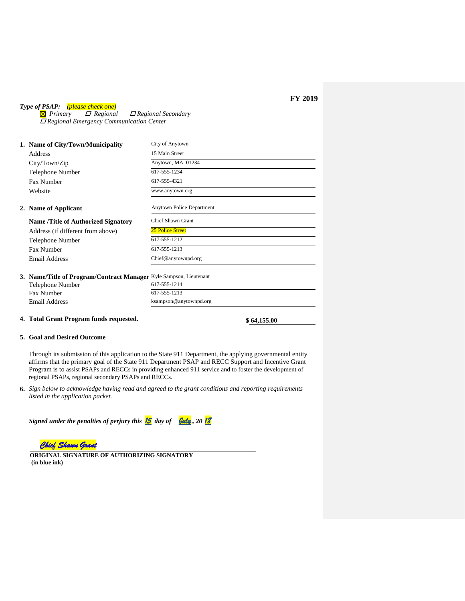*Type of PSAP: (please check one)*<br>**⊠** *Primary ⊡ Regional Primary Regional Regional Secondary Regional Emergency Communication Center*

| 1. Name of City/Town/Municipality                                  | City of Anytown           |
|--------------------------------------------------------------------|---------------------------|
| Address                                                            | 15 Main Street            |
| City/Town/Zip                                                      | Anytown, MA 01234         |
| <b>Telephone Number</b>                                            | 617-555-1234              |
| Fax Number                                                         | 617-555-4321              |
| Website                                                            | www.anytown.org           |
| 2. Name of Applicant                                               | Anytown Police Department |
| <b>Name /Title of Authorized Signatory</b>                         | Chief Shawn Grant         |
| Address (if different from above)                                  | <b>25 Police Street</b>   |
| Telephone Number                                                   | 617-555-1212              |
| Fax Number                                                         | 617-555-1213              |
| Email Address                                                      | Chief@anytownpd.org       |
| 3. Name/Title of Program/Contract Manager Kyle Sampson, Lieutenant |                           |
| Telephone Number                                                   | 617-555-1214              |
| Fax Number                                                         | 617-555-1213              |
| Email Address                                                      | ksampson@anytownpd.org    |
|                                                                    |                           |

# **4. Total Grant Program funds requested. \$ 64,155.00**

#### **5. Goal and Desired Outcome**

Through its submission of this application to the State 911 Department, the applying governmental entity affirms that the primary goal of the State 911 Department PSAP and RECC Support and Incentive Grant Program is to assist PSAPs and RECCs in providing enhanced 911 service and to foster the development of regional PSAPs, regional secondary PSAPs and RECCs.

**6.** *Sign below to acknowledge having read and agreed to the grant conditions and reporting requirements listed in the application packet.* 

| Signed under the penalties of perjury this $\frac{15}{15}$ day of $\frac{944}{15}$ , 20 $\frac{18}{15}$ |  |  |  |  |  |
|---------------------------------------------------------------------------------------------------------|--|--|--|--|--|
|---------------------------------------------------------------------------------------------------------|--|--|--|--|--|

*Chief Shawn Grant* 

**ORIGINAL SIGNATURE OF AUTHORIZING SIGNATORY (in blue ink)**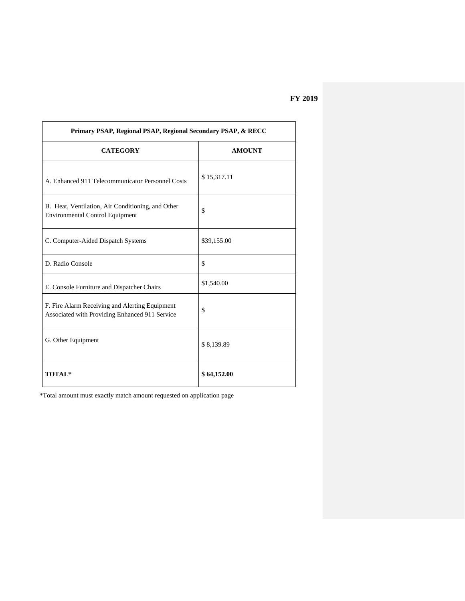| Primary PSAP, Regional PSAP, Regional Secondary PSAP, & RECC                                     |               |  |  |  |
|--------------------------------------------------------------------------------------------------|---------------|--|--|--|
| <b>CATEGORY</b>                                                                                  | <b>AMOUNT</b> |  |  |  |
| A. Enhanced 911 Telecommunicator Personnel Costs                                                 | \$15,317.11   |  |  |  |
| B. Heat, Ventilation, Air Conditioning, and Other<br><b>Environmental Control Equipment</b>      | \$            |  |  |  |
| C. Computer-Aided Dispatch Systems                                                               | \$39,155.00   |  |  |  |
| D. Radio Console                                                                                 | \$            |  |  |  |
| E. Console Furniture and Dispatcher Chairs                                                       | \$1,540.00    |  |  |  |
| F. Fire Alarm Receiving and Alerting Equipment<br>Associated with Providing Enhanced 911 Service | \$            |  |  |  |
| G. Other Equipment                                                                               | \$8,139.89    |  |  |  |
| <b>TOTAL*</b>                                                                                    | \$64,152.00   |  |  |  |

\*Total amount must exactly match amount requested on application page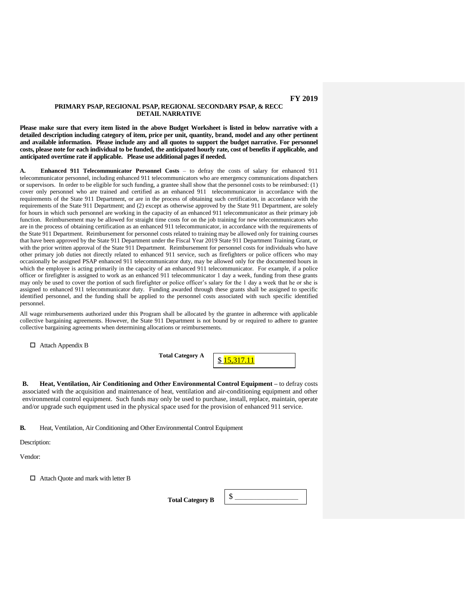## **PRIMARY PSAP, REGIONAL PSAP, REGIONAL SECONDARY PSAP, & RECC DETAIL NARRATIVE**

**Please make sure that every item listed in the above Budget Worksheet is listed in below narrative with a detailed description including category of item, price per unit, quantity, brand, model and any other pertinent and available information. Please include any and all quotes to support the budget narrative. For personnel costs, please note for each individual to be funded, the anticipated hourly rate, cost of benefits if applicable, and anticipated overtime rate if applicable. Please use additional pages if needed.**

**A. Enhanced 911 Telecommunicator Personnel Costs** – to defray the costs of salary for enhanced 911 telecommunicator personnel, including enhanced 911 telecommunicators who are emergency communications dispatchers or supervisors. In order to be eligible for such funding, a grantee shall show that the personnel costs to be reimbursed: (1) cover only personnel who are trained and certified as an enhanced 911 telecommunicator in accordance with the requirements of the State 911 Department, or are in the process of obtaining such certification, in accordance with the requirements of the State 911 Department; and (2) except as otherwise approved by the State 911 Department, are solely for hours in which such personnel are working in the capacity of an enhanced 911 telecommunicator as their primary job function. Reimbursement may be allowed for straight time costs for on the job training for new telecommunicators who are in the process of obtaining certification as an enhanced 911 telecommunicator, in accordance with the requirements of the State 911 Department. Reimbursement for personnel costs related to training may be allowed only for training courses that have been approved by the State 911 Department under the Fiscal Year 2019 State 911 Department Training Grant, or with the prior written approval of the State 911 Department. Reimbursement for personnel costs for individuals who have other primary job duties not directly related to enhanced 911 service, such as firefighters or police officers who may occasionally be assigned PSAP enhanced 911 telecommunicator duty, may be allowed only for the documented hours in which the employee is acting primarily in the capacity of an enhanced 911 telecommunicator. For example, if a police officer or firefighter is assigned to work as an enhanced 911 telecommunicator 1 day a week, funding from these grants may only be used to cover the portion of such firefighter or police officer's salary for the 1 day a week that he or she is assigned to enhanced 911 telecommunicator duty. Funding awarded through these grants shall be assigned to specific identified personnel, and the funding shall be applied to the personnel costs associated with such specific identified personnel.

All wage reimbursements authorized under this Program shall be allocated by the grantee in adherence with applicable collective bargaining agreements. However, the State 911 Department is not bound by or required to adhere to grantee collective bargaining agreements when determining allocations or reimbursements.

Attach Appendix B

**Total Category A**

\$ 15,317.11

**B. Heat, Ventilation, Air Conditioning and Other Environmental Control Equipment –** to defray costs associated with the acquisition and maintenance of heat, ventilation and air-conditioning equipment and other environmental control equipment. Such funds may only be used to purchase, install, replace, maintain, operate and/or upgrade such equipment used in the physical space used for the provision of enhanced 911 service.

**B.** Heat, Ventilation, Air Conditioning and Other Environmental Control Equipment

Description:

Vendor:

□ Attach Quote and mark with letter B

**Total Category B**  $\parallel$  \$

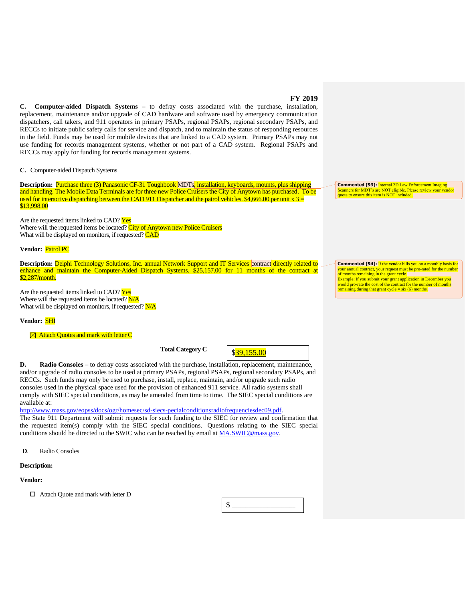**C. Computer-aided Dispatch Systems –** to defray costs associated with the purchase, installation, replacement, maintenance and/or upgrade of CAD hardware and software used by emergency communication dispatchers, call takers, and 911 operators in primary PSAPs, regional PSAPs, regional secondary PSAPs, and RECCs to initiate public safety calls for service and dispatch, and to maintain the status of responding resources in the field. Funds may be used for mobile devices that are linked to a CAD system. Primary PSAPs may not use funding for records management systems, whether or not part of a CAD system. Regional PSAPs and RECCs may apply for funding for records management systems.

**C.** Computer-aided Dispatch Systems

**Description:** Purchase three (3) Panasonic CF-31 Toughbook MDTs, installation, keyboards, mounts, plus shipping and handling. The Mobile Data Terminals are for three new Police Cruisers the City of Anytown has purchased. To be used for interactive dispatching between the CAD 911 Dispatcher and the patrol vehicles. \$4,666.00 per unit  $x =$ \$13,998.00

Are the requested items linked to CAD? Yes Where will the requested items be located? City of Anytown new Police Cruisers What will be displayed on monitors, if requested? CAD

**Vendor:** Patrol PC

Description: Delphi Technology Solutions, Inc. annual Network Support and IT Services contract directly related to enhance and maintain the Computer-Aided Dispatch Systems. \$25,157.00 for 11 months of the contract at \$2,287/month.

Are the requested items linked to CAD? Yes Where will the requested items be located? N/A What will be displayed on monitors, if requested? N/A

#### **Vendor:** SHI

 $\boxtimes$  Attach Quotes and mark with letter C

**Total Category C** 

\$39,155.00

**D. Radio Consoles** – to defray costs associated with the purchase, installation, replacement, maintenance, and/or upgrade of radio consoles to be used at primary PSAPs, regional PSAPs, regional secondary PSAPs, and RECCs. Such funds may only be used to purchase, install, replace, maintain, and/or upgrade such radio consoles used in the physical space used for the provision of enhanced 911 service. All radio systems shall comply with SIEC special conditions, as may be amended from time to time. The SIEC special conditions are available at:

[http://www.mass.gov/eopss/docs/ogr/homesec/sd-siecs-pecialconditionsradiofrequenciesdec09.pdf.](http://www.mass.gov/eopss/docs/ogr/homesec/sd-siecs-pecialconditionsradiofrequenciesdec09.pdf) The State 911 Department will submit requests for such funding to the SIEC for review and confirmation that the requested item(s) comply with the SIEC special conditions. Questions relating to the SIEC special conditions should be directed to the SWIC who can be reached by email at [MA.SWIC@mass.gov](mailto:MA.SWIC@mass.gov).

**D**. Radio Consoles

#### **Description:**

#### **Vendor:**

□ Attach Quote and mark with letter D

\$ \_\_\_\_\_\_\_\_\_\_\_\_\_\_\_\_\_\_\_\_\_\_\_

**Commented [93]:** Internal 2D Law Enforcement Imaging Scanners for MDT's are NOT eligible. Please review your vendor quote to ensure this item is NOT included.

**Commented [94]:** If the vendor bills you on a monthly basis for your annual contract, your request must be pro-rated for the number of months remaining in the grant cycle. Example: If you submit your grant application in December you would pro-rate the cost of the contract for the number of months remaining during that grant cycle = six (6) months.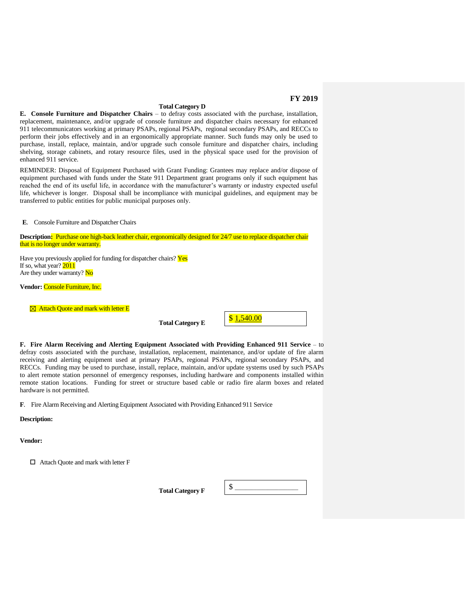**Total Category D E.** Console Furniture and Dispatcher Chairs – to defray costs associated with the purchase, installation, replacement, maintenance, and/or upgrade of console furniture and dispatcher chairs necessary for enhanced 911 telecommunicators working at primary PSAPs, regional PSAPs, regional secondary PSAPs, and RECCs to perform their jobs effectively and in an ergonomically appropriate manner. Such funds may only be used to purchase, install, replace, maintain, and/or upgrade such console furniture and dispatcher chairs, including shelving, storage cabinets, and rotary resource files, used in the physical space used for the provision of enhanced 911 service.

REMINDER: Disposal of Equipment Purchased with Grant Funding: Grantees may replace and/or dispose of equipment purchased with funds under the State 911 Department grant programs only if such equipment has reached the end of its useful life, in accordance with the manufacturer's warranty or industry expected useful life, whichever is longer. Disposal shall be incompliance with municipal guidelines, and equipment may be transferred to public entities for public municipal purposes only.

**E**. Console Furniture and Dispatcher Chairs

**Description:** Purchase one high-back leather chair, ergonomically designed for 24/7 use to replace dispatcher chair that is no longer under warranty.

Have you previously applied for funding for dispatcher chairs? Yes If so, what year? 2011 Are they under warranty? No

**Vendor:** Console Furniture, Inc.

 $\boxtimes$  Attach Quote and mark with letter E

**Total Category E** 



**F. Fire Alarm Receiving and Alerting Equipment Associated with Providing Enhanced 911 Service** – to defray costs associated with the purchase, installation, replacement, maintenance, and/or update of fire alarm receiving and alerting equipment used at primary PSAPs, regional PSAPs, regional secondary PSAPs, and RECCs. Funding may be used to purchase, install, replace, maintain, and/or update systems used by such PSAPs to alert remote station personnel of emergency responses, including hardware and components installed within remote station locations. Funding for street or structure based cable or radio fire alarm boxes and related hardware is not permitted.

**F**. Fire Alarm Receiving and Alerting Equipment Associated with Providing Enhanced 911 Service

**Description:**

**Vendor:**

Attach Quote and mark with letter F

**Total Category F** 

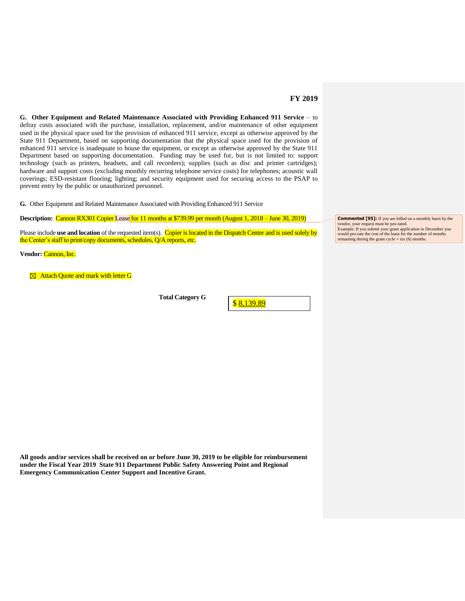**G. Other Equipment and Related Maintenance Associated with Providing Enhanced 911 Service** – to defray costs associated with the purchase, installation, replacement, and/or maintenance of other equipment used in the physical space used for the provision of enhanced 911 service, except as otherwise approved by the State 911 Department, based on supporting documentation that the physical space used for the provision of enhanced 911 service is inadequate to house the equipment, or except as otherwise approved by the State 911 Department based on supporting documentation. Funding may be used for, but is not limited to: support technology (such as printers, headsets, and call recorders); supplies (such as disc and printer cartridges); hardware and support costs (excluding monthly recurring telephone service costs) for telephones; acoustic wall coverings; ESD-resistant flooring; lighting; and security equipment used for securing access to the PSAP to prevent entry by the public or unauthorized personnel.

**G.** Other Equipment and Related Maintenance Associated with Providing Enhanced 911 Service

**Description:** Cannon RX301 Copier Lease for 11 months at \$739.99 per month (August 1, 2018 – June 30, 2019)

Please include **use and location** of the requested item(s). Copier is located in the Dispatch Center and is used solely by the Center's staff to print/copy documents, schedules, Q/A reports, etc.

**Vendor:** Cannon, Inc.

**<sup>** $\boxtimes$ **</sup> Attach Quote and mark with letter G** 

**Total Category G** 

\$ 8,139.89

**Commented [95]:** If you are billed on a monthly basis by the vendor, your request must be pro-rated. Example: If you submit your grant application in December you would pro-rate the cost of the lease for the number of months remaining during the grant cycle = six (6) months.

**All goods and/or services shall be received on or before June 30, 2019 to be eligible for reimbursement under the Fiscal Year 2019 State 911 Department Public Safety Answering Point and Regional Emergency Communication Center Support and Incentive Grant.**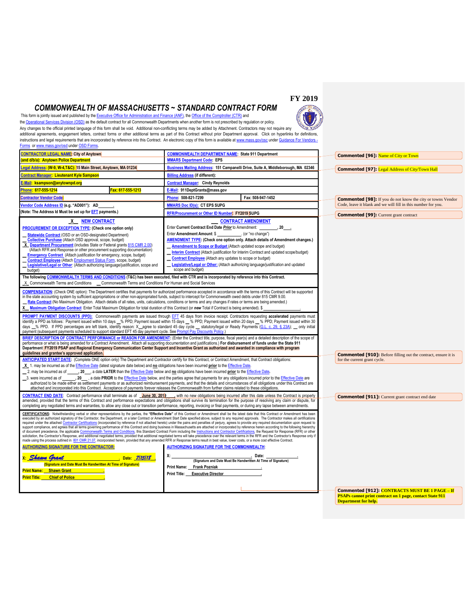# *COMMONWEALTH OF MASSACHUSETTS ~ STANDARD CONTRACT FORM*



This form is jointly issued and published by th[e Executive Office for Administration and Finance \(ANF\),](http://www.mass.gov/eoaf) th[e Office of the Comptroller \(CTR\)](http://www.mass.gov/osc) and th[e Operational Services Division \(OSD\)](http://www.mass.gov/osd) as the default contract for all Commonwealth Departments when another form is not prescribed by regulation or policy. Any changes to the official printed language of this form shall be void. Additional non-conflicting terms may be added by Attachment. Contractors may not require any  $w$   $w$ additional agreements, engagement letters, contract forms or other additional terms as part of this Contract without prior Department approval. Click on hyperlinks for definitions, instructions and legal requirements that are incorporated by reference into this Contract. An electronic copy of this form is available a[t www.mass.gov/osc](http://www.mass.gov/osc) under Guidance For Vendors [Forms](http://www.mass.gov/osc/guidance-for-vendors/forms.html) o[r www.mass.gov/osd](http://www.mass.gov/osd) unde[r OSD Forms.](http://www.mass.gov/anf/budget-taxes-and-procurement/oversight-agencies/osd/osd-forms.html) 

| <b>CONTRACTOR LEGAL NAME: City of Anytown</b>                                                                                                                                                                                                                                                                                                                                                                                                                                                                                                                                                                                                                                                                                                                                                                                                                                                                                                                                                                                                                                                                                                                                                                                                                                                                                                                                                                                                                                                                                                   | <b>COMMONWEALTH DEPARTMENT NAME: State 911 Department</b>                                                                                                                                                                                                                                                                                                                                                                                                                                                                                                                                   | <b>Commented [96]: Name of City or Town</b>                                                           |
|-------------------------------------------------------------------------------------------------------------------------------------------------------------------------------------------------------------------------------------------------------------------------------------------------------------------------------------------------------------------------------------------------------------------------------------------------------------------------------------------------------------------------------------------------------------------------------------------------------------------------------------------------------------------------------------------------------------------------------------------------------------------------------------------------------------------------------------------------------------------------------------------------------------------------------------------------------------------------------------------------------------------------------------------------------------------------------------------------------------------------------------------------------------------------------------------------------------------------------------------------------------------------------------------------------------------------------------------------------------------------------------------------------------------------------------------------------------------------------------------------------------------------------------------------|---------------------------------------------------------------------------------------------------------------------------------------------------------------------------------------------------------------------------------------------------------------------------------------------------------------------------------------------------------------------------------------------------------------------------------------------------------------------------------------------------------------------------------------------------------------------------------------------|-------------------------------------------------------------------------------------------------------|
| (and d/b/a): Anytown Police Department                                                                                                                                                                                                                                                                                                                                                                                                                                                                                                                                                                                                                                                                                                                                                                                                                                                                                                                                                                                                                                                                                                                                                                                                                                                                                                                                                                                                                                                                                                          | <b>MMARS Department Code: EPS</b>                                                                                                                                                                                                                                                                                                                                                                                                                                                                                                                                                           |                                                                                                       |
| egal Address: (W-9, W-4,T&C): 15 Main Street, Anytown, MA 01234                                                                                                                                                                                                                                                                                                                                                                                                                                                                                                                                                                                                                                                                                                                                                                                                                                                                                                                                                                                                                                                                                                                                                                                                                                                                                                                                                                                                                                                                                 | Business Mailing Address: 151 Campanelli Drive, Suite A, Middleborough, MA 02346                                                                                                                                                                                                                                                                                                                                                                                                                                                                                                            | <b>Commented [97]:</b> Legal Address of City/Town Hall                                                |
| Contract Manager: Lieutenant Kyle Sampson                                                                                                                                                                                                                                                                                                                                                                                                                                                                                                                                                                                                                                                                                                                                                                                                                                                                                                                                                                                                                                                                                                                                                                                                                                                                                                                                                                                                                                                                                                       | <b>Billing Address (if different):</b>                                                                                                                                                                                                                                                                                                                                                                                                                                                                                                                                                      |                                                                                                       |
| <u>E-Mail: ksampson@anytownpd.org</u>                                                                                                                                                                                                                                                                                                                                                                                                                                                                                                                                                                                                                                                                                                                                                                                                                                                                                                                                                                                                                                                                                                                                                                                                                                                                                                                                                                                                                                                                                                           | <b>Contract Manager: Cindy Reynolds</b>                                                                                                                                                                                                                                                                                                                                                                                                                                                                                                                                                     |                                                                                                       |
| Fax: 617-555-1213<br>Phone: 617-555-1214                                                                                                                                                                                                                                                                                                                                                                                                                                                                                                                                                                                                                                                                                                                                                                                                                                                                                                                                                                                                                                                                                                                                                                                                                                                                                                                                                                                                                                                                                                        | E-Mail: 911DeptGrants@mass.gov                                                                                                                                                                                                                                                                                                                                                                                                                                                                                                                                                              |                                                                                                       |
| Contractor Vendor Code <mark>:</mark>                                                                                                                                                                                                                                                                                                                                                                                                                                                                                                                                                                                                                                                                                                                                                                                                                                                                                                                                                                                                                                                                                                                                                                                                                                                                                                                                                                                                                                                                                                           | Phone: 508-821-7299<br>Fax: 508-947-1452                                                                                                                                                                                                                                                                                                                                                                                                                                                                                                                                                    | <b>Commented [98]:</b> If you do not know the city or towns Vendor                                    |
| Vendor Code Address ID (e.g. "AD001"): AD                                                                                                                                                                                                                                                                                                                                                                                                                                                                                                                                                                                                                                                                                                                                                                                                                                                                                                                                                                                                                                                                                                                                                                                                                                                                                                                                                                                                                                                                                                       | <b>MMARS Doc ID(s): CT EPS SUPG</b>                                                                                                                                                                                                                                                                                                                                                                                                                                                                                                                                                         | Code, leave it blank and we will fill in this number for you.                                         |
| (Note: The Address Id Must be set up for <b>EFT</b> payments.)                                                                                                                                                                                                                                                                                                                                                                                                                                                                                                                                                                                                                                                                                                                                                                                                                                                                                                                                                                                                                                                                                                                                                                                                                                                                                                                                                                                                                                                                                  | RFR/Procurement or Other ID Number FY2019 SUPG                                                                                                                                                                                                                                                                                                                                                                                                                                                                                                                                              | <b>Commented [99]:</b> Current grant contract                                                         |
| X NEW CONTRACT<br>PROCUREMENT OR EXCEPTION TYPE: (Check one option only)<br><b>Statewide Contract</b> (OSD or an OSD-designated Department)<br>Collective Purchase (Attach OSD approval, scope, budget)<br>X_Department Procurement (includes State or Federal grants 815 CMR 2.00)<br>(Attach RFR and Response or other procurement supporting documentation)<br><b>Emergency Contract</b> (Attach justification for emergency, scope, budget)<br>Contract Employee (Attach Employment Status Form, scope, budget)<br>Legislative/Legal or Other: (Attach authorizing language/justification, scope and<br>budget)                                                                                                                                                                                                                                                                                                                                                                                                                                                                                                                                                                                                                                                                                                                                                                                                                                                                                                                             | <b>CONTRACT AMENDMENT</b><br>Enter Current Contract End Date Prior to Amendment:<br>$, 20$ .<br>Enter Amendment Amount: \$ ____________. (or "no change")<br>AMENDMENT TYPE: (Check one option only. Attach details of Amendment changes.)<br>Amendment to Scope or Budget (Attach updated scope and budget)<br><b>Interim Contract</b> (Attach justification for Interim Contract and updated scope/budget)<br><b>Contract Employee</b> (Attach any updates to scope or budget)<br>Legislative/Legal or Other: (Attach authorizing language/justification and updated<br>scope and budget) |                                                                                                       |
| The following COMMONWEALTH TERMS AND CONDITIONS (T&C) has been executed, filed with CTR and is incorporated by reference into this Contract.<br>X Commonwealth Terms and Conditions<br>Commonwealth Terms and Conditions For Human and Social Services                                                                                                                                                                                                                                                                                                                                                                                                                                                                                                                                                                                                                                                                                                                                                                                                                                                                                                                                                                                                                                                                                                                                                                                                                                                                                          |                                                                                                                                                                                                                                                                                                                                                                                                                                                                                                                                                                                             |                                                                                                       |
| in the state accounting system by sufficient appropriations or other non-appropriated funds, subject to intercept for Commonwealth owed debts under 815 CMR 9.00.<br>Rate Contract (No Maximum Obligation. Attach details of all rates, units, calculations, conditions or terms and any changes if rates or terms are being amended.)<br>Maximum Obligation Contract Enter Total Maximum Obligation for total duration of this Contract (or new Total if Contract is being amended). \$<br>x                                                                                                                                                                                                                                                                                                                                                                                                                                                                                                                                                                                                                                                                                                                                                                                                                                                                                                                                                                                                                                                   | COMPENSATION: (Check ONE option): The Department certifies that payments for authorized performance accepted in accordance with the terms of this Contract will be supported<br>PROMPT PAYMENT DISCOUNTS (PPD): Commonwealth payments are issued through EFT 45 days from invoice receipt. Contractors requesting accelerated payments must<br>identify a PPD as follows: Payment issued within 10 days 6% PPD; Payment issued within 15 days 6% PPD; Payment issued within 20 days 6% PPD; Payment issued within 30                                                                        |                                                                                                       |
| payment (subsequent payments scheduled to support standard EFT 45 day payment cycle. See Prompt Pay Discounts Policy.)<br>performance or what is being amended for a Contract Amendment. Attach all supporting documentation and justifications.) For disbursement of funds under the State 911<br>Department FY2019 PSAP and Regional Emergency Communication Center Support and Incentive Grant as authorized and awarded in compliance with program<br>guidelines and grantee's approved application.<br>ANTICIPATED START DATE: (Complete ONE option only) The Department and Contractor certify for this Contract, or Contract Amendment, that Contract obligations:                                                                                                                                                                                                                                                                                                                                                                                                                                                                                                                                                                                                                                                                                                                                                                                                                                                                       | days 6. PPD. If PPD percentages are left blank, identify reason: X_agree to standard 45 day cycle _ statutory/legal or Ready Payments (G.L. c. 29, § 23A); _ only initial<br>BRIEF DESCRIPTION OF CONTRACT PERFORMANCE or REASON FOR AMENDMENT: (Enter the Contract title, purpose, fiscal year(s) and a detailed description of the scope of                                                                                                                                                                                                                                               | <b>Commented [910]:</b> Before filling out the contract, ensure it is<br>for the current grant cycle. |
| X 1. may be incurred as of the Effective Date (latest signature date below) and no obligations have been incurred prior to the Effective Date.<br>2. may be incurred as of _____, 20___, a date LATER than the Effective Date below and no obligations have been incurred prior to the Effective Date.<br>attached and incorporated into this Contract. Acceptance of payments forever releases the Commonwealth from further claims related to these obligations.                                                                                                                                                                                                                                                                                                                                                                                                                                                                                                                                                                                                                                                                                                                                                                                                                                                                                                                                                                                                                                                                              | 30 were incurred as of _______, 20___, a date PRIOR to the Effective Date below, and the parties agree that payments for any obligations incurred prior to the Effective Date are<br>authorized to be made either as settlement payments or as authorized reimbursement payments, and that the details and circumstances of all obligations under this Contract are                                                                                                                                                                                                                         |                                                                                                       |
|                                                                                                                                                                                                                                                                                                                                                                                                                                                                                                                                                                                                                                                                                                                                                                                                                                                                                                                                                                                                                                                                                                                                                                                                                                                                                                                                                                                                                                                                                                                                                 | CONTRACT END DATE: Contract performance shall terminate as of June 30, 2019 , with no new obligations being incurred after this date unless the Contract is properly<br>amended, provided that the terms of this Contract and performance expectations and obligations shall survive its termination for the purpose of resolving any claim or dispute, for<br>completing any negotiated terms and warranties, to allow any close out or transition performance, reporting, invoicing or final payments, or during any lapse between amendments.                                            | <b>Commented [911]:</b> Current grant contract end date                                               |
| CERTIFICATIONS: Notwithstanding verbal or other representations by the parties, the "Effective Date" of this Contract or Amendment shall be the latest date that this Contract or Amendment has been<br>executed by an authorized signatory of the Contractor, the Department, or a later Contract or Amendment Start Date specified above, subject to any required approvals. The Contractor makes all certifications<br>required under the attached Contractor Certifications (incorporated by reference if not attached hereto) under the pains and penalties of perjury, agrees to provide any required documentation upon request to<br>support compliance, and agrees that all terms governing performance of this Contract and doing business in Massachusetts are attached or incorporated by reference herein according to the following hierarchy<br>of document precedence, the applicable Commonwealth Terms and Conditions, this Standard Contract Form including the Instructions and Contractor Certifications, the Request for Response (RFR) or other<br>solicitation, the Contractor's Response, and additional negotiated terms, provided that additional negotiated terms will take precedence over the relevant terms in the RFR and the Contractor's Response only if<br>made using the process outlined in 801 CMR 21.07, incorporated herein, provided that any amended RFR or Response terms result in best value, lower costs, or a more cost effective Contract.<br><b>AUTHORIZING SIGNATURE FOR THE CONTRACTOR:</b> |                                                                                                                                                                                                                                                                                                                                                                                                                                                                                                                                                                                             |                                                                                                       |
| . Shawn Corant<br>Date: 7/15/18<br>(Signature and Date Must Be Handwritten At Time of Signature)<br><b>Print Name: Shawn Grant</b><br><b>Chief of Police</b><br><b>Print Title:</b>                                                                                                                                                                                                                                                                                                                                                                                                                                                                                                                                                                                                                                                                                                                                                                                                                                                                                                                                                                                                                                                                                                                                                                                                                                                                                                                                                             | х:<br>Date:<br>(Signature and Date Must Be Handwritten At Time of Signature)<br>Print Name: Frank Pozniak<br>Print Title: Executive Director                                                                                                                                                                                                                                                                                                                                                                                                                                                | Commented [912]: CONTRACTS MUST BE 1 PAGE - If                                                        |
|                                                                                                                                                                                                                                                                                                                                                                                                                                                                                                                                                                                                                                                                                                                                                                                                                                                                                                                                                                                                                                                                                                                                                                                                                                                                                                                                                                                                                                                                                                                                                 |                                                                                                                                                                                                                                                                                                                                                                                                                                                                                                                                                                                             |                                                                                                       |

<span id="page-8-0"></span>**Commented [912]: CONTRACTS MUST BE 1 PAGE – If PSAPs cannot print contract on 1 page, contact State 911 Department for help.**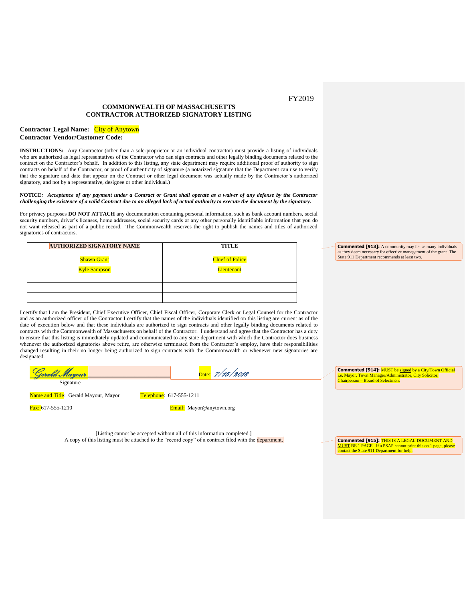## **COMMONWEALTH OF MASSACHUSETTS CONTRACTOR AUTHORIZED SIGNATORY LISTING**

#### **Contractor Legal Name:** City of Anytown **Contractor Vendor/Customer Code:**

**INSTRUCTIONS:** Any Contractor (other than a sole-proprietor or an individual contractor) must provide a listing of individuals who are authorized as legal representatives of the Contractor who can sign contracts and other legally binding documents related to the contract on the Contractor's behalf. In addition to this listing, any state department may require additional proof of authority to sign contracts on behalf of the Contractor, or proof of authenticity of signature (a notarized signature that the Department can use to verify that the signature and date that appear on the Contract or other legal document was actually made by the Contractor's authorized signatory, and not by a representative, designee or other individual.)

#### **NOTICE***: Acceptance of any payment under a Contract or Grant shall operate as a waiver of any defense by the Contractor challenging the existence of a valid Contract due to an alleged lack of actual authority to execute the document by the signatory.*

For privacy purposes **DO NOT ATTACH** any documentation containing personal information, such as bank account numbers, social security numbers, driver's licenses, home addresses, social security cards or any other personally identifiable information that you do not want released as part of a public record. The Commonwealth reserves the right to publish the names and titles of authorized signatories of contractors.

| <b>AUTHORIZED SIGNATORY NAME</b> | <b>TITLE</b>           |
|----------------------------------|------------------------|
| <b>Shawn Grant</b>               | <b>Chief of Police</b> |
| <b>Kyle Sampson</b>              | Lieutenant             |
|                                  |                        |
|                                  |                        |
|                                  |                        |

**Commented [913]:** A community may list as many individuals as they deem necessary for effective management of the grant. The State 911 Department recommends at least two.

I certify that I am the President, Chief Executive Officer, Chief Fiscal Officer, Corporate Clerk or Legal Counsel for the Contractor and as an authorized officer of the Contractor I certify that the names of the individuals identified on this listing are current as of the date of execution below and that these individuals are authorized to sign contracts and other legally binding documents related to contracts with the Commonwealth of Massachusetts on behalf of the Contractor. I understand and agree that the Contractor has a duty to ensure that this listing is immediately updated and communicated to any state department with which the Contractor does business whenever the authorized signatories above retire, are otherwise terminated from the Contractor's employ, have their responsibilities changed resulting in their no longer being authorized to sign contracts with the Commonwealth or whenever new signatories are designated.



Name and Title: Gerald Mayour, Mayor Telephone: 617-555-1211

Fax: 617-555-1210 **Email:** Mayor@anytown.org

[Listing cannot be accepted without all of this information completed.] A copy of this listing must be attached to the "record copy" of a contract filed with the department. **Commented [914]:** MUST be signed by a City/Town Official i.e. Mayor, Town Manager/Administrator, City Solicitor, Chairperson – Board of Selectmen.

**Commented [915]:** THIS IS A LEGAL DOCUMENT AND MUST BE 1 PAGE. If a PSAP cannot print this on 1 page, please contact the State 911 Department for help.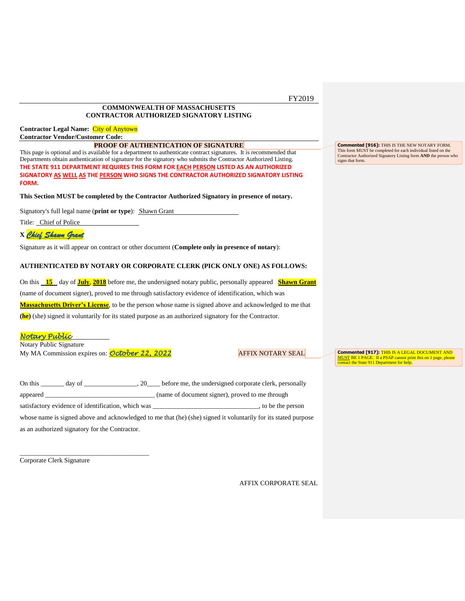# **COMMONWEALTH OF MASSACHUSETTS CONTRACTOR AUTHORIZED SIGNATORY LISTING**

# **Contractor Legal Name:** City of Anytown **Contractor Vendor/Customer Code:**

#### **PROOF OF AUTHENTICATION OF SIGNATURE**

This page is optional and is available for a department to authenticate contract signatures. It is recommended that Departments obtain authentication of signature for the signatory who submits the Contractor Authorized Listing. **THE STATE 911 DEPARTMENT REQUIRES THIS FORM FOR EACH PERSON LISTED AS AN AUTHORIZED SIGNATORY AS WELL AS THE PERSON WHO SIGNS THE CONTRACTOR AUTHORIZED SIGNATORY LISTING FORM.** 

**This Section MUST be completed by the Contractor Authorized Signatory in presence of notary.**

Signatory's full legal name (**print or type**): Shawn Grant

Title: Chief of Police

# **X** *Chief Shawn Grant*

Signature as it will appear on contract or other document (**Complete only in presence of notary**):

# **AUTHENTICATED BY NOTARY OR CORPORATE CLERK (PICK ONLY ONE) AS FOLLOWS:**

On this **15** day of **July**, **2018** before me, the undersigned notary public, personally appeared **Shawn Grant** (name of document signer), proved to me through satisfactory evidence of identification, which was **Massachusetts Driver's License**, to be the person whose name is signed above and acknowledged to me that **(he)** (she) signed it voluntarily for its stated purpose as an authorized signatory for the Contractor.

# *Notary Public*\_\_\_\_\_\_\_\_\_\_

Notary Public Signature My MA Commission expires on: **October 22, 2022** AFFIX NOTARY SEAL

\_\_\_\_\_\_\_\_\_\_\_\_\_\_\_\_\_\_\_\_\_\_\_\_\_\_\_\_\_\_\_\_\_\_\_\_\_\_\_

**Commented [917]:** THIS IS A LEGAL DOCUMENT AND MUST BE 1 PAGE. If a PSAP cannot print this on 1 page, please contact the State 911 Department for help.

**Commented [916]:** THIS IS THE NEW NOTARY FORM. This form MUST be completed for each individual listed on the Contractor Authorized Signatory Listing form **AND** the person who

signs that form.

| On this<br>day of<br>20                            | before me, the undersigned corporate clerk, personally                                                         |
|----------------------------------------------------|----------------------------------------------------------------------------------------------------------------|
| appeared                                           | (name of document signer), proved to me through                                                                |
| satisfactory evidence of identification, which was | to be the person                                                                                               |
|                                                    | whose name is signed above and acknowledged to me that (he) (she) signed it voluntarily for its stated purpose |
| as an authorized signatory for the Contractor.     |                                                                                                                |

Corporate Clerk Signature

AFFIX CORPORATE SEAL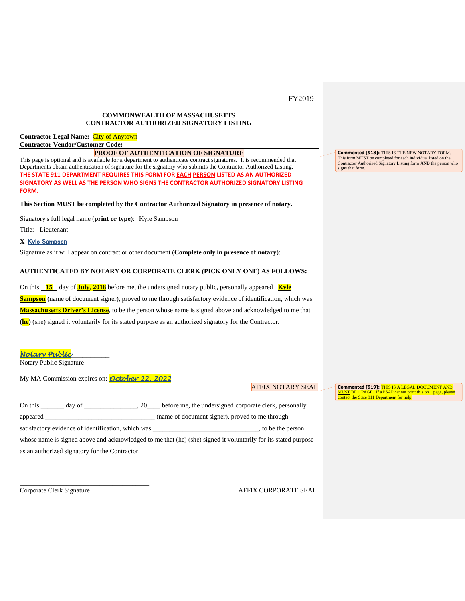## **COMMONWEALTH OF MASSACHUSETTS CONTRACTOR AUTHORIZED SIGNATORY LISTING**

**Contractor Legal Name:** City of Anytown **Contractor Vendor/Customer Code:**

#### **PROOF OF AUTHENTICATION OF SIGNATURE**

This page is optional and is available for a department to authenticate contract signatures. It is recommended that Departments obtain authentication of signature for the signatory who submits the Contractor Authorized Listing. **THE STATE 911 DEPARTMENT REQUIRES THIS FORM FOR EACH PERSON LISTED AS AN AUTHORIZED SIGNATORY AS WELL AS THE PERSON WHO SIGNS THE CONTRACTOR AUTHORIZED SIGNATORY LISTING FORM.** 

#### **This Section MUST be completed by the Contractor Authorized Signatory in presence of notary.**

Signatory's full legal name (**print or type**): Kyle Sampson

Title: Lieutenant

#### **X** Kyle Sampson

Signature as it will appear on contract or other document (**Complete only in presence of notary**):

## **AUTHENTICATED BY NOTARY OR CORPORATE CLERK (PICK ONLY ONE) AS FOLLOWS:**

On this **15** day of **July**, **2018** before me, the undersigned notary public, personally appeared **Kyle Sampson** (name of document signer), proved to me through satisfactory evidence of identification, which was **Massachusetts Driver's License**, to be the person whose name is signed above and acknowledged to me that **(he)** (she) signed it voluntarily for its stated purpose as an authorized signatory for the Contractor.

#### *Notary Public*\_\_\_\_\_\_\_\_\_\_

Notary Public Signature

My MA Commission expires on: *October 22, 2022*

# AFFIX NOTARY SEAL

| On this<br>day of                                  | 20 before me, the undersigned corporate clerk, personally                                                      |
|----------------------------------------------------|----------------------------------------------------------------------------------------------------------------|
| appeared                                           | (name of document signer), proved to me through                                                                |
| satisfactory evidence of identification, which was | to be the person                                                                                               |
|                                                    | whose name is signed above and acknowledged to me that (he) (she) signed it voluntarily for its stated purpose |
| as an authorized signatory for the Contractor.     |                                                                                                                |

\_\_\_\_\_\_\_\_\_\_\_\_\_\_\_\_\_\_\_\_\_\_\_\_\_\_\_\_\_\_\_\_\_\_\_\_\_\_\_

Corporate Clerk Signature AFFIX CORPORATE SEAL

**Commented [918]:** THIS IS THE NEW NOTARY FORM. This form MUST be completed for each individual listed on the Contractor Authorized Signatory Listing form **AND** the person who signs that form.

**Commented [919]:** THIS IS A LEGAL DOCUMENT AND MUST BE 1 PAGE. If a PSAP cannot print this on 1 page, please contact the State 911 Department for help.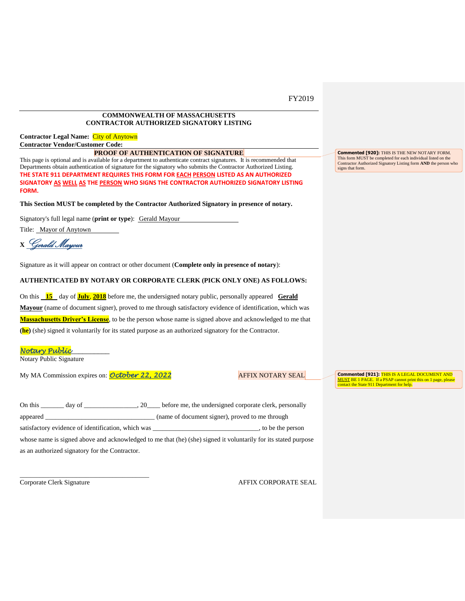## **COMMONWEALTH OF MASSACHUSETTS CONTRACTOR AUTHORIZED SIGNATORY LISTING**

**Contractor Legal Name:** City of Anytown **Contractor Vendor/Customer Code:**

#### **PROOF OF AUTHENTICATION OF SIGNATURE**

This page is optional and is available for a department to authenticate contract signatures. It is recommended that Departments obtain authentication of signature for the signatory who submits the Contractor Authorized Listing. **THE STATE 911 DEPARTMENT REQUIRES THIS FORM FOR EACH PERSON LISTED AS AN AUTHORIZED SIGNATORY AS WELL AS THE PERSON WHO SIGNS THE CONTRACTOR AUTHORIZED SIGNATORY LISTING FORM.** 

#### **This Section MUST be completed by the Contractor Authorized Signatory in presence of notary.**

Signatory's full legal name (**print or type**): Gerald Mayour

Title: Mayor of Anytown

**<sup>X</sup>**Gerald Mayour

Signature as it will appear on contract or other document (**Complete only in presence of notary**):

## **AUTHENTICATED BY NOTARY OR CORPORATE CLERK (PICK ONLY ONE) AS FOLLOWS:**

On this **15** day of **July**, **2018** before me, the undersigned notary public, personally appeared **Gerald Mayour** (name of document signer), proved to me through satisfactory evidence of identification, which was **Massachusetts Driver's License**, to be the person whose name is signed above and acknowledged to me that **(he)** (she) signed it voluntarily for its stated purpose as an authorized signatory for the Contractor.

#### *Notary Public*\_\_\_\_\_\_\_\_\_\_

Notary Public Signature

My MA Commission expires on: **October 22, 2022** AFFIX NOTARY SEAL

\_\_\_\_\_\_\_\_\_\_\_\_\_\_\_\_\_\_\_\_\_\_\_\_\_\_\_\_\_\_\_\_\_\_\_\_\_\_\_

**Commented [921]:** THIS IS A LEGAL DOCUMENT AND MUST BE 1 PAGE. If a PSAP cannot print this on 1 page, please contact the State 911 Department for help.

**Commented [920]:** THIS IS THE NEW NOTARY FORM. This form MUST be completed for each individual listed on the Contractor Authorized Signatory Listing form **AND** the person who

signs that form.

| On this<br>day of                                  | 20 before me, the undersigned corporate clerk, personally                                                      |
|----------------------------------------------------|----------------------------------------------------------------------------------------------------------------|
| appeared                                           | (name of document signer), proved to me through                                                                |
| satisfactory evidence of identification, which was | to be the person                                                                                               |
|                                                    | whose name is signed above and acknowledged to me that (he) (she) signed it voluntarily for its stated purpose |
| as an authorized signatory for the Contractor.     |                                                                                                                |

Corporate Clerk Signature AFFIX CORPORATE SEAL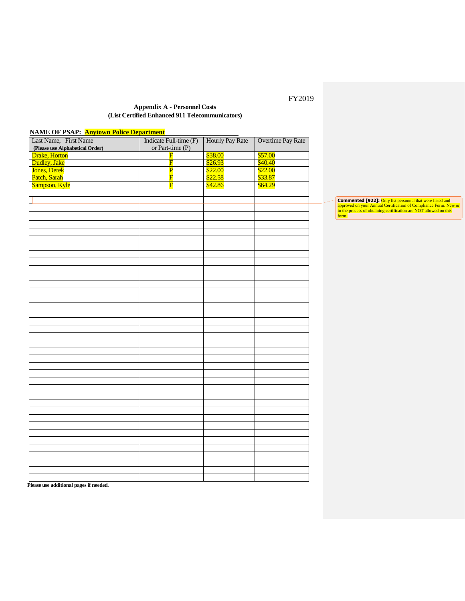# **Appendix A - Personnel Costs (List Certified Enhanced 911 Telecommunicators)**

| <b>NAME OF PSAP: Anytown Police Department</b> |                         |                        |                   |  |  |  |
|------------------------------------------------|-------------------------|------------------------|-------------------|--|--|--|
| Last Name, First Name                          | Indicate Full-time (F)  | <b>Hourly Pay Rate</b> | Overtime Pay Rate |  |  |  |
| (Please use Alphabetical Order)                | or Part-time (P)        |                        |                   |  |  |  |
| <b>Drake</b> , Horton                          | $\overline{\mathbf{F}}$ | \$38.00                | \$57.00           |  |  |  |
| Dudley, Jake                                   | $\overline{\mathbf{F}}$ | \$26.93                | \$40.40           |  |  |  |
| Jones, Derek                                   | $\overline{\mathbf{P}}$ | \$22.00                | \$22.00           |  |  |  |
| Patch, Sarah                                   | $\overline{\mathrm{F}}$ | \$22.58                | \$33.87           |  |  |  |
| Sampson, Kyle                                  | F                       | \$42.86                | \$64.29           |  |  |  |
|                                                |                         |                        |                   |  |  |  |
|                                                |                         |                        |                   |  |  |  |
|                                                |                         |                        |                   |  |  |  |
|                                                |                         |                        |                   |  |  |  |
|                                                |                         |                        |                   |  |  |  |
|                                                |                         |                        |                   |  |  |  |
|                                                |                         |                        |                   |  |  |  |
|                                                |                         |                        |                   |  |  |  |
|                                                |                         |                        |                   |  |  |  |
|                                                |                         |                        |                   |  |  |  |
|                                                |                         |                        |                   |  |  |  |
|                                                |                         |                        |                   |  |  |  |
|                                                |                         |                        |                   |  |  |  |
|                                                |                         |                        |                   |  |  |  |
|                                                |                         |                        |                   |  |  |  |
|                                                |                         |                        |                   |  |  |  |
|                                                |                         |                        |                   |  |  |  |
|                                                |                         |                        |                   |  |  |  |
|                                                |                         |                        |                   |  |  |  |
|                                                |                         |                        |                   |  |  |  |
|                                                |                         |                        |                   |  |  |  |
|                                                |                         |                        |                   |  |  |  |
|                                                |                         |                        |                   |  |  |  |
|                                                |                         |                        |                   |  |  |  |
|                                                |                         |                        |                   |  |  |  |
|                                                |                         |                        |                   |  |  |  |
|                                                |                         |                        |                   |  |  |  |
|                                                |                         |                        |                   |  |  |  |
|                                                |                         |                        |                   |  |  |  |
|                                                |                         |                        |                   |  |  |  |
|                                                |                         |                        |                   |  |  |  |
|                                                |                         |                        |                   |  |  |  |
|                                                |                         |                        |                   |  |  |  |
|                                                |                         |                        |                   |  |  |  |
|                                                |                         |                        |                   |  |  |  |
|                                                |                         |                        |                   |  |  |  |
|                                                |                         |                        |                   |  |  |  |
|                                                |                         |                        |                   |  |  |  |
| $\cdot$<br>$\sim$ $\sim$                       |                         |                        |                   |  |  |  |

**Commented [922]:** Only list personnel that were listed and approved on your Annual Certification of Compliance Form. New or in the process of obtaining certification are NOT allowed on this form.

**Please use additional pages if needed.**